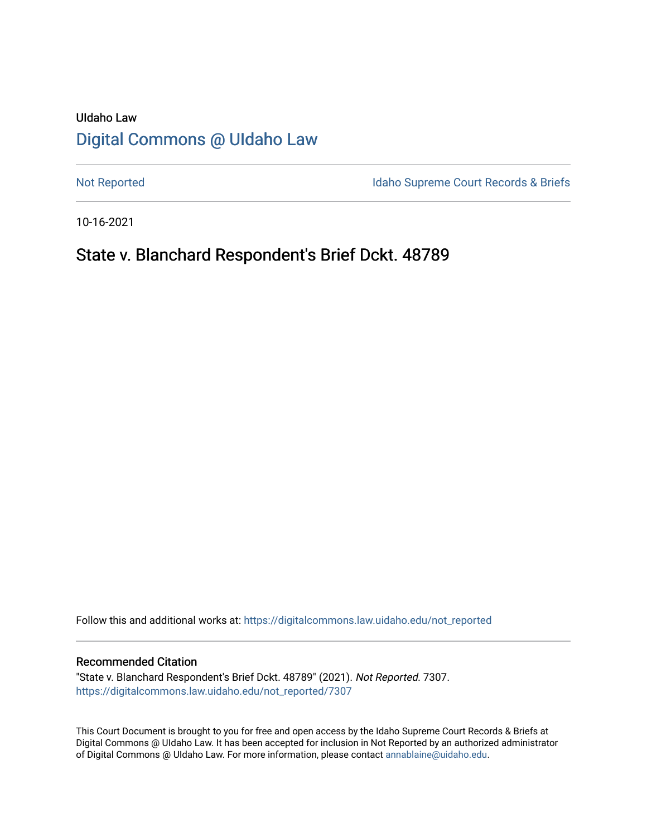# UIdaho Law [Digital Commons @ UIdaho Law](https://digitalcommons.law.uidaho.edu/)

[Not Reported](https://digitalcommons.law.uidaho.edu/not_reported) **Idaho Supreme Court Records & Briefs** 

10-16-2021

## State v. Blanchard Respondent's Brief Dckt. 48789

Follow this and additional works at: [https://digitalcommons.law.uidaho.edu/not\\_reported](https://digitalcommons.law.uidaho.edu/not_reported?utm_source=digitalcommons.law.uidaho.edu%2Fnot_reported%2F7307&utm_medium=PDF&utm_campaign=PDFCoverPages) 

#### Recommended Citation

"State v. Blanchard Respondent's Brief Dckt. 48789" (2021). Not Reported. 7307. [https://digitalcommons.law.uidaho.edu/not\\_reported/7307](https://digitalcommons.law.uidaho.edu/not_reported/7307?utm_source=digitalcommons.law.uidaho.edu%2Fnot_reported%2F7307&utm_medium=PDF&utm_campaign=PDFCoverPages)

This Court Document is brought to you for free and open access by the Idaho Supreme Court Records & Briefs at Digital Commons @ UIdaho Law. It has been accepted for inclusion in Not Reported by an authorized administrator of Digital Commons @ UIdaho Law. For more information, please contact [annablaine@uidaho.edu](mailto:annablaine@uidaho.edu).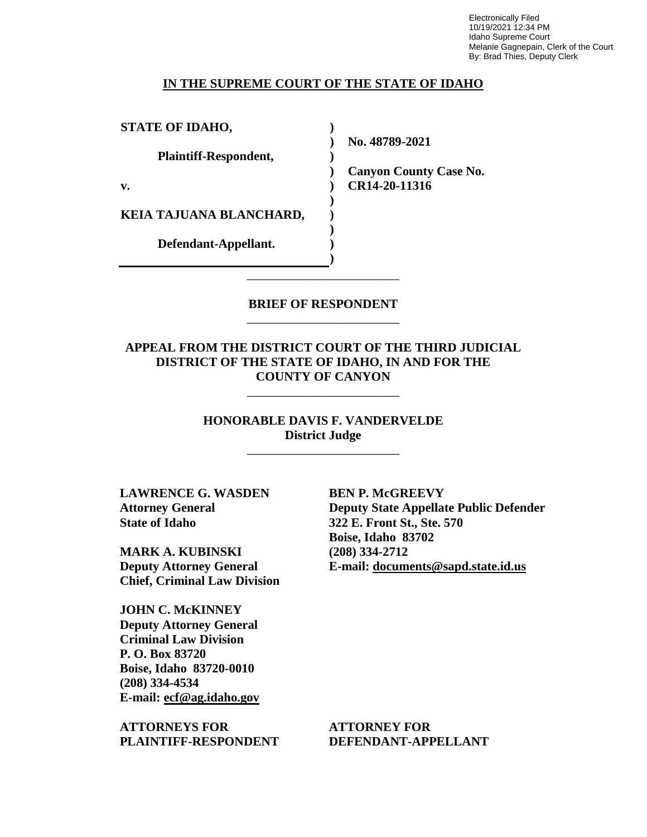Electronically Filed 10/19/2021 12:34 PM Idaho Supreme Court Melanie Gagnepain, Clerk of the Court By: Brad Thies, Deputy Clerk

### **IN THE SUPREME COURT OF THE STATE OF IDAHO**

**) ) ) ) ) ) ) ) ) )**

**STATE OF IDAHO,**

**Plaintiff-Respondent,**

**v.** 

**KEIA TAJUANA BLANCHARD,** 

**Defendant-Appellant.**

**No. 48789-2021** 

**Canyon County Case No. CR14-20-11316** 

**BRIEF OF RESPONDENT** \_\_\_\_\_\_\_\_\_\_\_\_\_\_\_\_\_\_\_\_\_\_\_\_

\_\_\_\_\_\_\_\_\_\_\_\_\_\_\_\_\_\_\_\_\_\_\_\_

**APPEAL FROM THE DISTRICT COURT OF THE THIRD JUDICIAL DISTRICT OF THE STATE OF IDAHO, IN AND FOR THE COUNTY OF CANYON**

\_\_\_\_\_\_\_\_\_\_\_\_\_\_\_\_\_\_\_\_\_\_\_\_

**HONORABLE DAVIS F. VANDERVELDE District Judge**

\_\_\_\_\_\_\_\_\_\_\_\_\_\_\_\_\_\_\_\_\_\_\_\_

**LAWRENCE G. WASDEN Attorney General State of Idaho**

**MARK A. KUBINSKI Deputy Attorney General Chief, Criminal Law Division**

**JOHN C. McKINNEY Deputy Attorney General Criminal Law Division P. O. Box 83720 Boise, Idaho 83720-0010 (208) 334-4534 E-mail: ecf@ag.idaho.gov** 

**ATTORNEYS FOR PLAINTIFF-RESPONDENT** **BEN P. McGREEVY Deputy State Appellate Public Defender 322 E. Front St., Ste. 570 Boise, Idaho 83702 (208) 334-2712 E-mail: documents@sapd.state.id.us** 

**ATTORNEY FOR DEFENDANT-APPELLANT**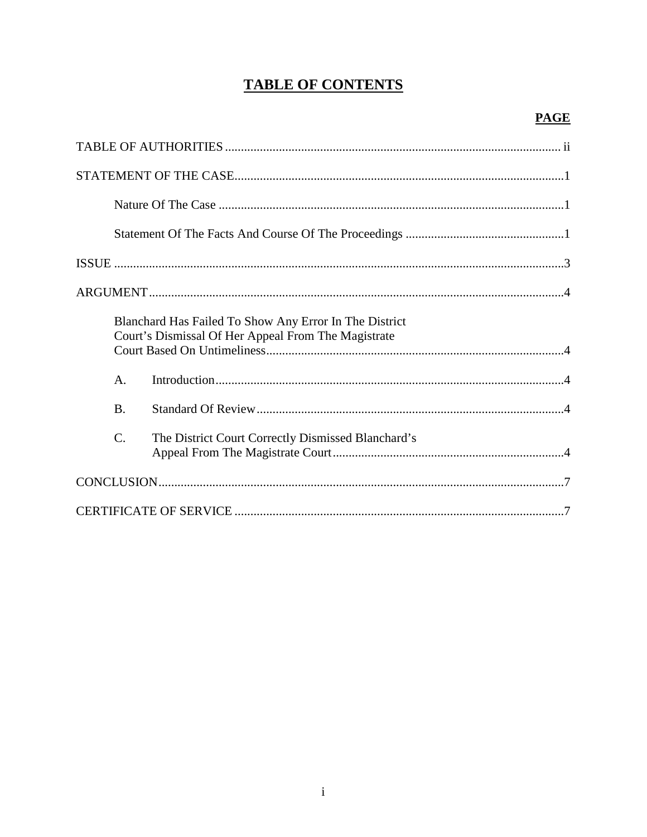# **TABLE OF CONTENTS**

## **PAGE**

|                 | Blanchard Has Failed To Show Any Error In The District<br>Court's Dismissal Of Her Appeal From The Magistrate |
|-----------------|---------------------------------------------------------------------------------------------------------------|
| $\mathsf{A}$ .  |                                                                                                               |
| <b>B.</b>       |                                                                                                               |
| $\mathcal{C}$ . | The District Court Correctly Dismissed Blanchard's                                                            |
|                 |                                                                                                               |
|                 |                                                                                                               |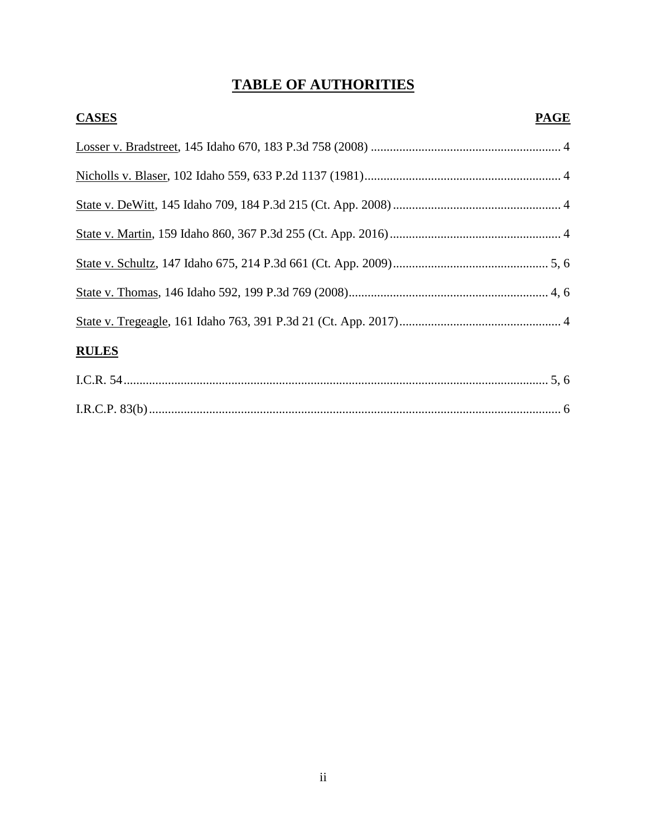# **TABLE OF AUTHORITIES**

| <b>CASES</b> | <b>PAGE</b> |
|--------------|-------------|
|              |             |
|              |             |
|              |             |
|              |             |
|              |             |
|              |             |
|              |             |
| <b>RULES</b> |             |
|              |             |
|              |             |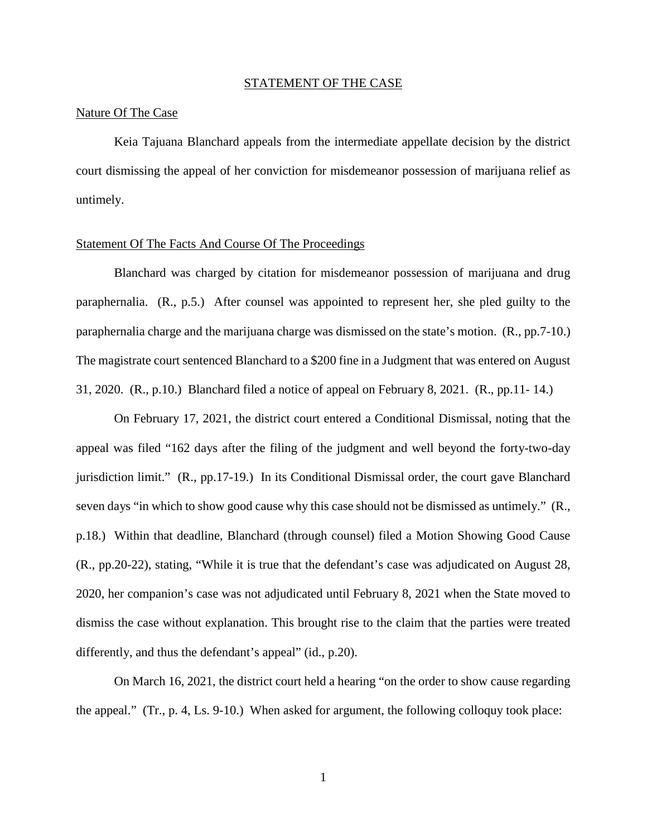#### STATEMENT OF THE CASE

#### Nature Of The Case

Keia Tajuana Blanchard appeals from the intermediate appellate decision by the district court dismissing the appeal of her conviction for misdemeanor possession of marijuana relief as untimely.

### Statement Of The Facts And Course Of The Proceedings

Blanchard was charged by citation for misdemeanor possession of marijuana and drug paraphernalia. (R., p.5.) After counsel was appointed to represent her, she pled guilty to the paraphernalia charge and the marijuana charge was dismissed on the state's motion. (R., pp.7-10.) The magistrate court sentenced Blanchard to a \$200 fine in a Judgment that was entered on August 31, 2020. (R., p.10.) Blanchard filed a notice of appeal on February 8, 2021. (R., pp.11- 14.)

On February 17, 2021, the district court entered a Conditional Dismissal, noting that the appeal was filed "162 days after the filing of the judgment and well beyond the forty-two-day jurisdiction limit." (R., pp.17-19.) In its Conditional Dismissal order, the court gave Blanchard seven days "in which to show good cause why this case should not be dismissed as untimely." (R., p.18.) Within that deadline, Blanchard (through counsel) filed a Motion Showing Good Cause (R., pp.20-22), stating, "While it is true that the defendant's case was adjudicated on August 28, 2020, her companion's case was not adjudicated until February 8, 2021 when the State moved to dismiss the case without explanation. This brought rise to the claim that the parties were treated differently, and thus the defendant's appeal" (id., p.20).

On March 16, 2021, the district court held a hearing "on the order to show cause regarding the appeal." (Tr., p. 4, Ls. 9-10.) When asked for argument, the following colloquy took place: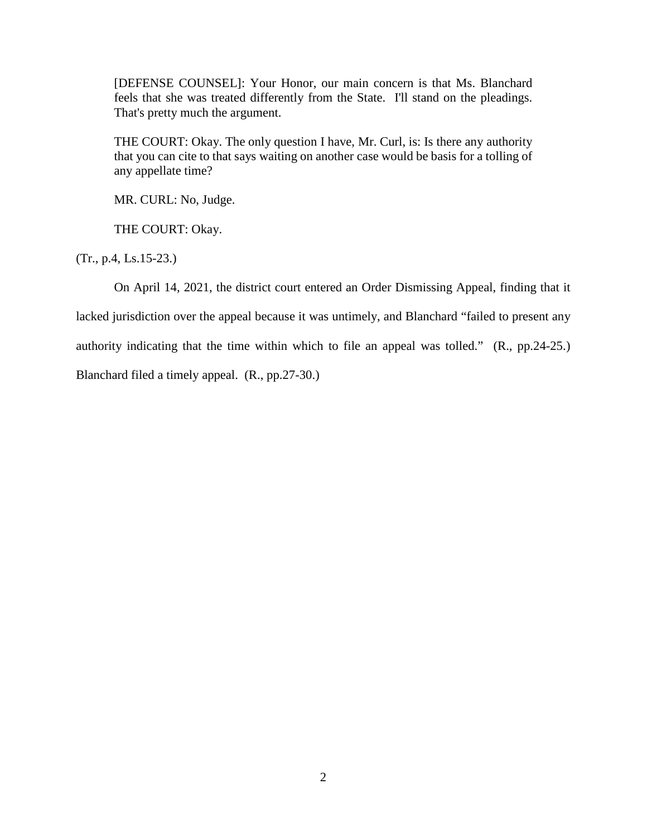[DEFENSE COUNSEL]: Your Honor, our main concern is that Ms. Blanchard feels that she was treated differently from the State. I'll stand on the pleadings. That's pretty much the argument.

THE COURT: Okay. The only question I have, Mr. Curl, is: Is there any authority that you can cite to that says waiting on another case would be basis for a tolling of any appellate time?

MR. CURL: No, Judge.

THE COURT: Okay.

(Tr., p.4, Ls.15-23.)

On April 14, 2021, the district court entered an Order Dismissing Appeal, finding that it lacked jurisdiction over the appeal because it was untimely, and Blanchard "failed to present any authority indicating that the time within which to file an appeal was tolled." (R., pp.24-25.) Blanchard filed a timely appeal. (R., pp.27-30.)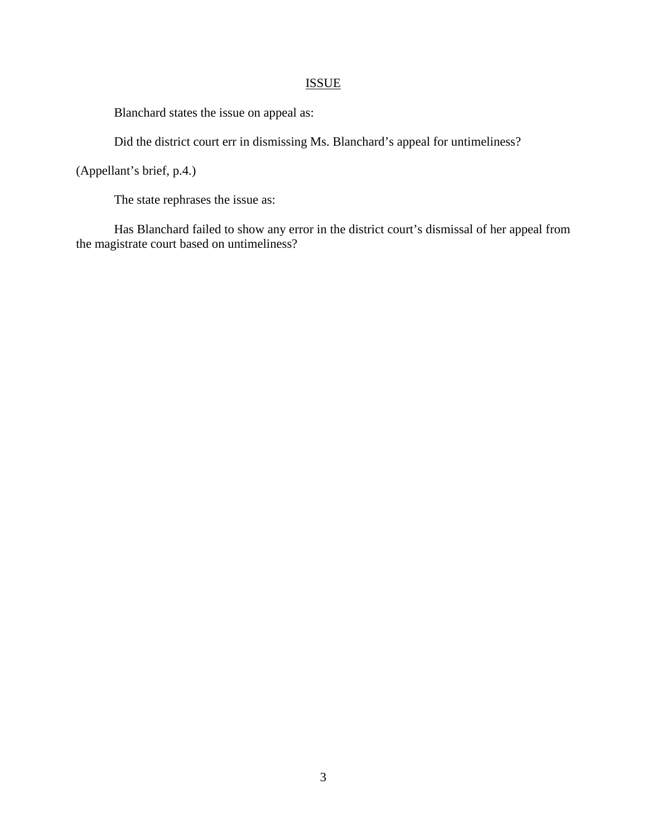## ISSUE

Blanchard states the issue on appeal as:

Did the district court err in dismissing Ms. Blanchard's appeal for untimeliness?

(Appellant's brief, p.4.)

The state rephrases the issue as:

Has Blanchard failed to show any error in the district court's dismissal of her appeal from the magistrate court based on untimeliness?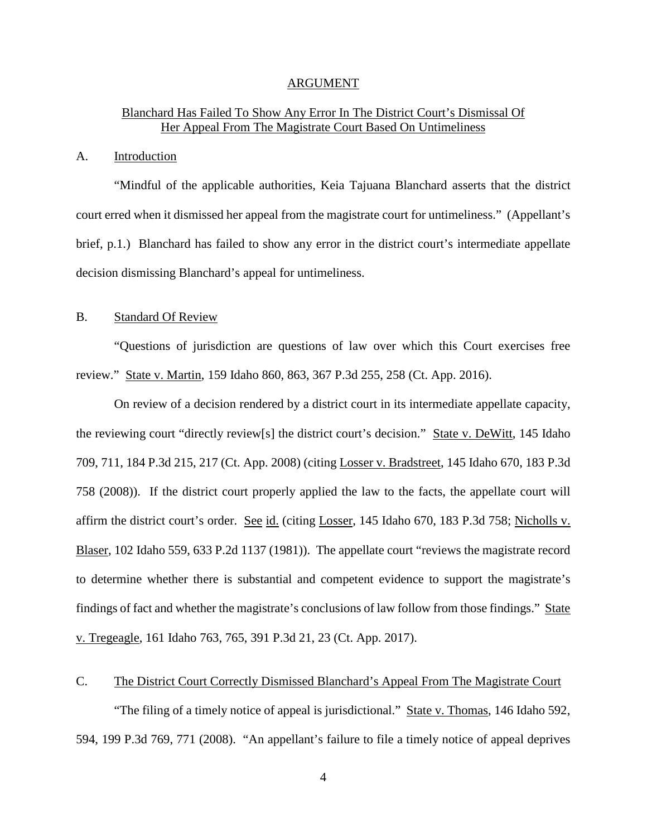#### ARGUMENT

## Blanchard Has Failed To Show Any Error In The District Court's Dismissal Of Her Appeal From The Magistrate Court Based On Untimeliness

### A. Introduction

"Mindful of the applicable authorities, Keia Tajuana Blanchard asserts that the district court erred when it dismissed her appeal from the magistrate court for untimeliness." (Appellant's brief, p.1.) Blanchard has failed to show any error in the district court's intermediate appellate decision dismissing Blanchard's appeal for untimeliness.

#### B. Standard Of Review

"Questions of jurisdiction are questions of law over which this Court exercises free review." State v. Martin, 159 Idaho 860, 863, 367 P.3d 255, 258 (Ct. App. 2016).

On review of a decision rendered by a district court in its intermediate appellate capacity, the reviewing court "directly review[s] the district court's decision." State v. DeWitt, 145 Idaho 709, 711, 184 P.3d 215, 217 (Ct. App. 2008) (citing Losser v. Bradstreet, 145 Idaho 670, 183 P.3d 758 (2008)). If the district court properly applied the law to the facts, the appellate court will affirm the district court's order. See id. (citing Losser, 145 Idaho 670, 183 P.3d 758; Nicholls v. Blaser, 102 Idaho 559, 633 P.2d 1137 (1981)). The appellate court "reviews the magistrate record to determine whether there is substantial and competent evidence to support the magistrate's findings of fact and whether the magistrate's conclusions of law follow from those findings." State v. Tregeagle, 161 Idaho 763, 765, 391 P.3d 21, 23 (Ct. App. 2017).

## C. The District Court Correctly Dismissed Blanchard's Appeal From The Magistrate Court

"The filing of a timely notice of appeal is jurisdictional." State v. Thomas, 146 Idaho 592, 594, 199 P.3d 769, 771 (2008). "An appellant's failure to file a timely notice of appeal deprives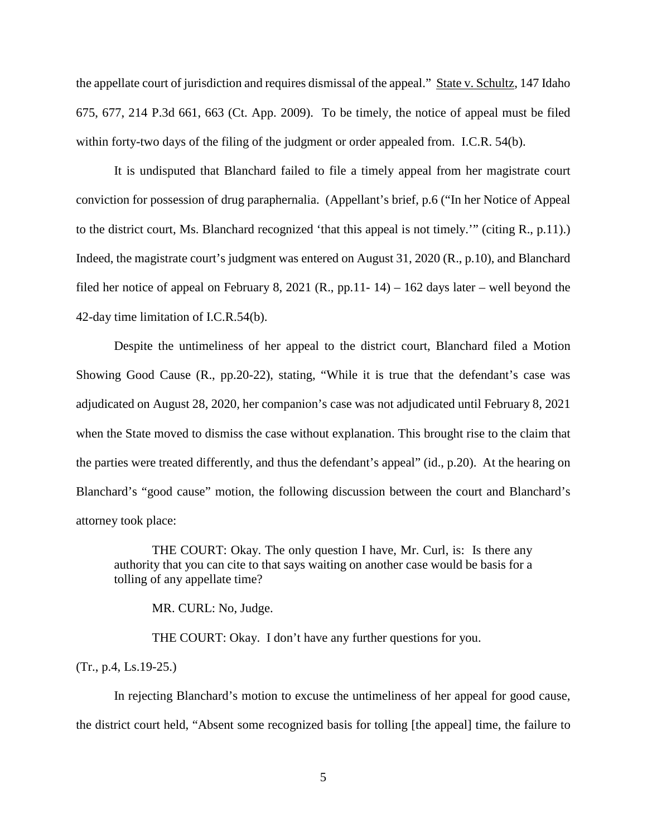the appellate court of jurisdiction and requires dismissal of the appeal." State v. Schultz, 147 Idaho 675, 677, 214 P.3d 661, 663 (Ct. App. 2009). To be timely, the notice of appeal must be filed within forty-two days of the filing of the judgment or order appealed from. I.C.R. 54(b).

It is undisputed that Blanchard failed to file a timely appeal from her magistrate court conviction for possession of drug paraphernalia. (Appellant's brief, p.6 ("In her Notice of Appeal to the district court, Ms. Blanchard recognized 'that this appeal is not timely.'" (citing R., p.11).) Indeed, the magistrate court's judgment was entered on August 31, 2020 (R., p.10), and Blanchard filed her notice of appeal on February 8, 2021 (R., pp.11- 14) – 162 days later – well beyond the 42-day time limitation of I.C.R.54(b).

Despite the untimeliness of her appeal to the district court, Blanchard filed a Motion Showing Good Cause (R., pp.20-22), stating, "While it is true that the defendant's case was adjudicated on August 28, 2020, her companion's case was not adjudicated until February 8, 2021 when the State moved to dismiss the case without explanation. This brought rise to the claim that the parties were treated differently, and thus the defendant's appeal" (id., p.20). At the hearing on Blanchard's "good cause" motion, the following discussion between the court and Blanchard's attorney took place:

THE COURT: Okay. The only question I have, Mr. Curl, is: Is there any authority that you can cite to that says waiting on another case would be basis for a tolling of any appellate time?

MR. CURL: No, Judge.

THE COURT: Okay. I don't have any further questions for you.

(Tr., p.4, Ls.19-25.)

In rejecting Blanchard's motion to excuse the untimeliness of her appeal for good cause, the district court held, "Absent some recognized basis for tolling [the appeal] time, the failure to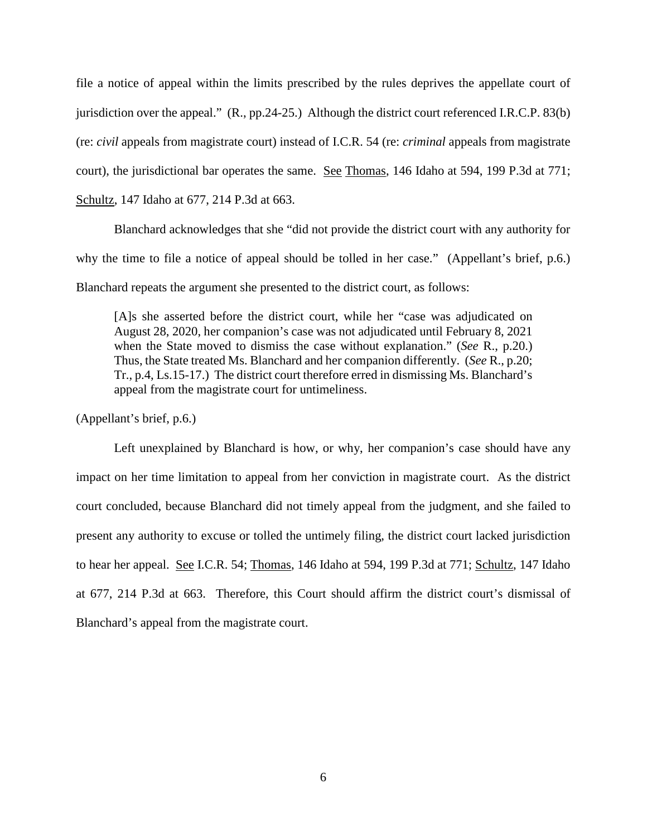file a notice of appeal within the limits prescribed by the rules deprives the appellate court of jurisdiction over the appeal." (R., pp.24-25.) Although the district court referenced I.R.C.P. 83(b) (re: *civil* appeals from magistrate court) instead of I.C.R. 54 (re: *criminal* appeals from magistrate court), the jurisdictional bar operates the same. See Thomas, 146 Idaho at 594, 199 P.3d at 771; Schultz, 147 Idaho at 677, 214 P.3d at 663.

Blanchard acknowledges that she "did not provide the district court with any authority for why the time to file a notice of appeal should be tolled in her case." (Appellant's brief, p.6.) Blanchard repeats the argument she presented to the district court, as follows:

[A]s she asserted before the district court, while her "case was adjudicated on August 28, 2020, her companion's case was not adjudicated until February 8, 2021 when the State moved to dismiss the case without explanation." (*See* R., p.20.) Thus, the State treated Ms. Blanchard and her companion differently. (*See* R., p.20; Tr., p.4, Ls.15-17.) The district court therefore erred in dismissing Ms. Blanchard's appeal from the magistrate court for untimeliness.

(Appellant's brief, p.6.)

Left unexplained by Blanchard is how, or why, her companion's case should have any impact on her time limitation to appeal from her conviction in magistrate court. As the district court concluded, because Blanchard did not timely appeal from the judgment, and she failed to present any authority to excuse or tolled the untimely filing, the district court lacked jurisdiction to hear her appeal. See I.C.R. 54; Thomas, 146 Idaho at 594, 199 P.3d at 771; Schultz, 147 Idaho at 677, 214 P.3d at 663. Therefore, this Court should affirm the district court's dismissal of Blanchard's appeal from the magistrate court.